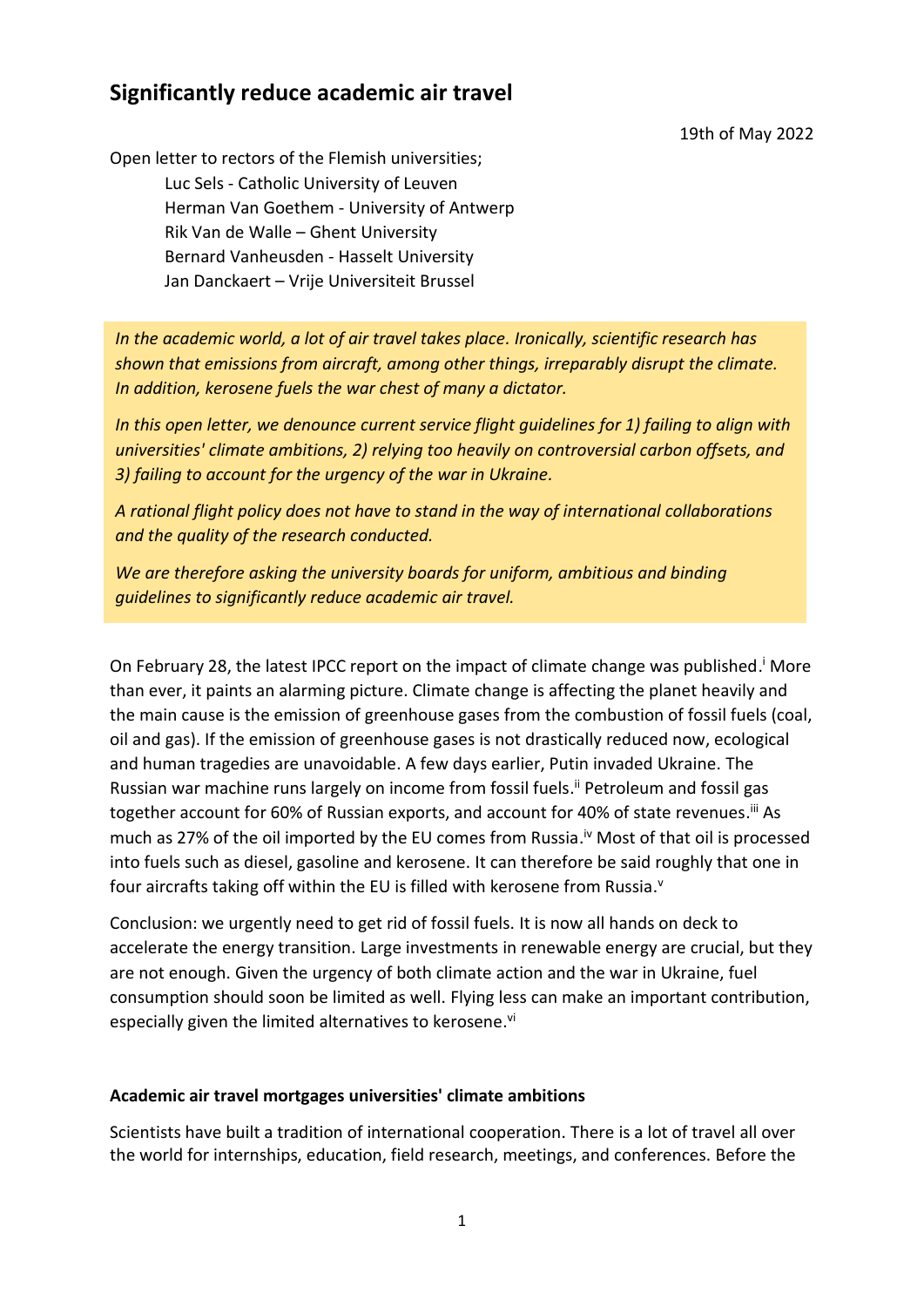## **Significantly reduce academic air travel**

19th of May 2022

Open letter to rectors of the Flemish universities; Luc Sels - Catholic University of Leuven Herman Van Goethem - University of Antwerp Rik Van de Walle – Ghent University Bernard Vanheusden - Hasselt University Jan Danckaert – Vrije Universiteit Brussel

*In the academic world, a lot of air travel takes place. Ironically, scientific research has shown that emissions from aircraft, among other things, irreparably disrupt the climate. In addition, kerosene fuels the war chest of many a dictator.*

*In this open letter, we denounce current service flight guidelines for 1) failing to align with universities' climate ambitions, 2) relying too heavily on controversial carbon offsets, and 3) failing to account for the urgency of the war in Ukraine.*

*A rational flight policy does not have to stand in the way of international collaborations and the quality of the research conducted.*

*We are therefore asking the university boards for uniform, ambitious and binding guidelines to significantly reduce academic air travel.*

On February 28, the latest IPCC report on the impact of climate change was published.<sup>i</sup> More than ever, it paints an alarming picture. Climate change is affecting the planet heavily and the main cause is the emission of greenhouse gases from the combustion of fossil fuels (coal, oil and gas). If the emission of greenhouse gases is not drastically reduced now, ecological and human tragedies are unavoidable. A few days earlier, Putin invaded Ukraine. The Russian war machine runs largely on income from fossil fuels.<sup>ii</sup> Petroleum and fossil gas together account for 60% of Russian exports, and account for 40% of state revenues.<sup>iii</sup> As much as 27% of the oil imported by the EU comes from Russia.<sup>iv</sup> Most of that oil is processed into fuels such as diesel, gasoline and kerosene. It can therefore be said roughly that one in four aircrafts taking off within the EU is filled with kerosene from Russia.<sup>v</sup>

Conclusion: we urgently need to get rid of fossil fuels. It is now all hands on deck to accelerate the energy transition. Large investments in renewable energy are crucial, but they are not enough. Given the urgency of both climate action and the war in Ukraine, fuel consumption should soon be limited as well. Flying less can make an important contribution, especially given the limited alternatives to kerosene.<sup>vi</sup>

#### **Academic air travel mortgages universities' climate ambitions**

Scientists have built a tradition of international cooperation. There is a lot of travel all over the world for internships, education, field research, meetings, and conferences. Before the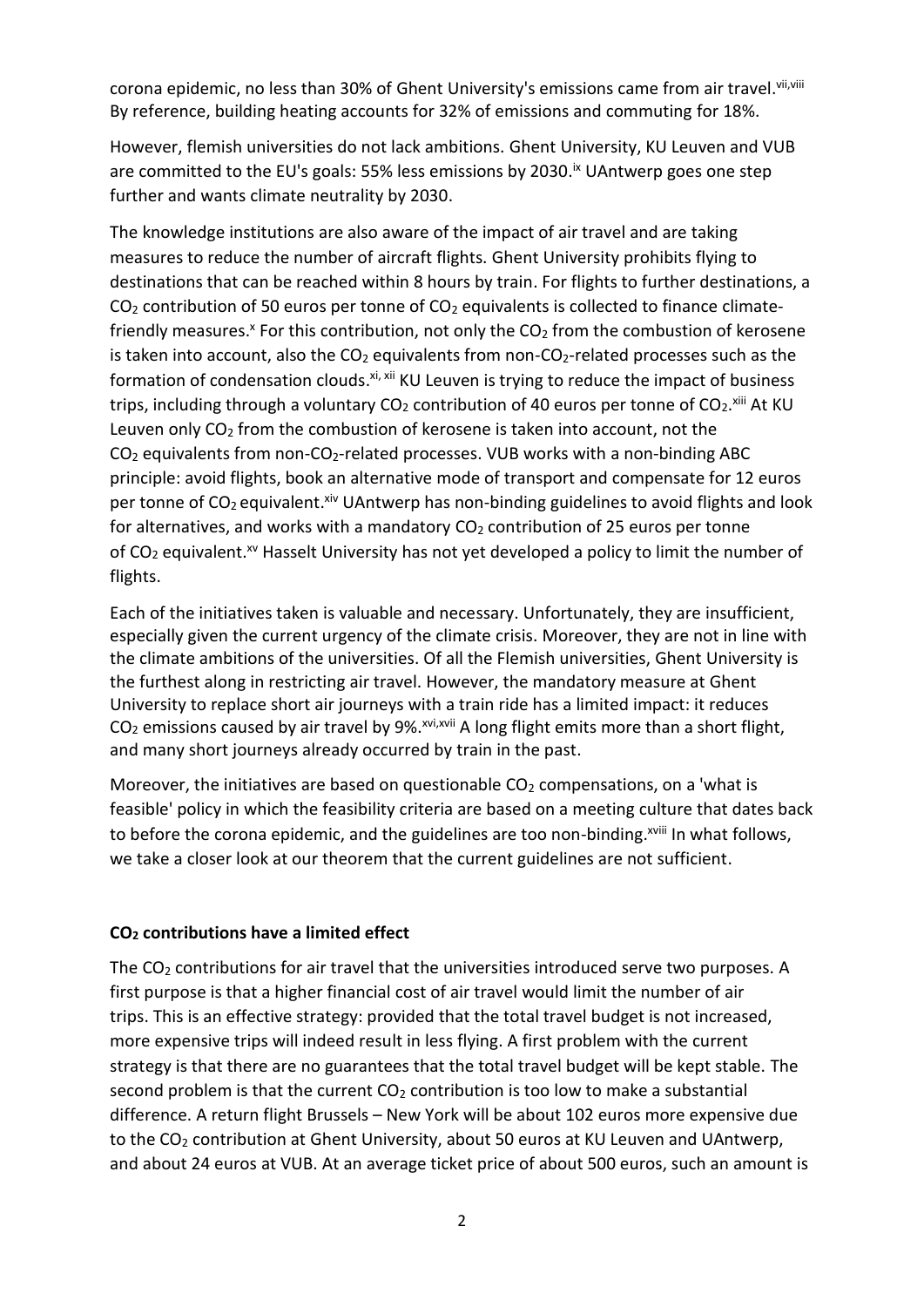corona epidemic, no less than 30% of Ghent University's emissions came from air travel.<sup>vii,viii</sup> By reference, building heating accounts for 32% of emissions and commuting for 18%.

However, flemish universities do not lack ambitions. Ghent University, KU Leuven and VUB are committed to the EU's goals: 55% less emissions by 2030.<sup>ix</sup> UAntwerp goes one step further and wants climate neutrality by 2030.

The knowledge institutions are also aware of the impact of air travel and are taking measures to reduce the number of aircraft flights. Ghent University prohibits flying to destinations that can be reached within 8 hours by train. For flights to further destinations, a  $CO<sub>2</sub>$  contribution of 50 euros per tonne of  $CO<sub>2</sub>$  equivalents is collected to finance climatefriendly measures.<sup>x</sup> For this contribution, not only the  $CO<sub>2</sub>$  from the combustion of kerosene is taken into account, also the  $CO<sub>2</sub>$  equivalents from non- $CO<sub>2</sub>$ -related processes such as the formation of condensation clouds.<sup>xi, xii</sup> KU Leuven is trying to reduce the impact of business trips, including through a voluntary  $CO<sub>2</sub>$  contribution of 40 euros per tonne of  $CO<sub>2</sub>$ .<sup>xiii</sup> At KU Leuven only  $CO<sub>2</sub>$  from the combustion of kerosene is taken into account, not the CO<sup>2</sup> equivalents from non-CO2-related processes. VUB works with a non-binding ABC principle: avoid flights, book an alternative mode of transport and compensate for 12 euros per tonne of CO<sub>2</sub> equivalent.<sup>xiv</sup> UAntwerp has non-binding guidelines to avoid flights and look for alternatives, and works with a mandatory  $CO<sub>2</sub>$  contribution of 25 euros per tonne of CO<sub>2</sub> equivalent.<sup>xv</sup> Hasselt University has not yet developed a policy to limit the number of flights.

Each of the initiatives taken is valuable and necessary. Unfortunately, they are insufficient, especially given the current urgency of the climate crisis. Moreover, they are not in line with the climate ambitions of the universities. Of all the Flemish universities, Ghent University is the furthest along in restricting air travel. However, the mandatory measure at Ghent University to replace short air journeys with a train ride has a limited impact: it reduces  $CO<sub>2</sub>$  emissions caused by air travel by 9%. Xvi, Xvii A long flight emits more than a short flight, and many short journeys already occurred by train in the past.

Moreover, the initiatives are based on questionable  $CO<sub>2</sub>$  compensations, on a 'what is feasible' policy in which the feasibility criteria are based on a meeting culture that dates back to before the corona epidemic, and the guidelines are too non-binding.<sup>xviii</sup> In what follows, we take a closer look at our theorem that the current guidelines are not sufficient.

#### **CO<sup>2</sup> contributions have a limited effect**

The CO<sub>2</sub> contributions for air travel that the universities introduced serve two purposes. A first purpose is that a higher financial cost of air travel would limit the number of air trips. This is an effective strategy: provided that the total travel budget is not increased, more expensive trips will indeed result in less flying. A first problem with the current strategy is that there are no guarantees that the total travel budget will be kept stable. The second problem is that the current  $CO<sub>2</sub>$  contribution is too low to make a substantial difference. A return flight Brussels – New York will be about 102 euros more expensive due to the  $CO<sub>2</sub>$  contribution at Ghent University, about 50 euros at KU Leuven and UAntwerp, and about 24 euros at VUB. At an average ticket price of about 500 euros, such an amount is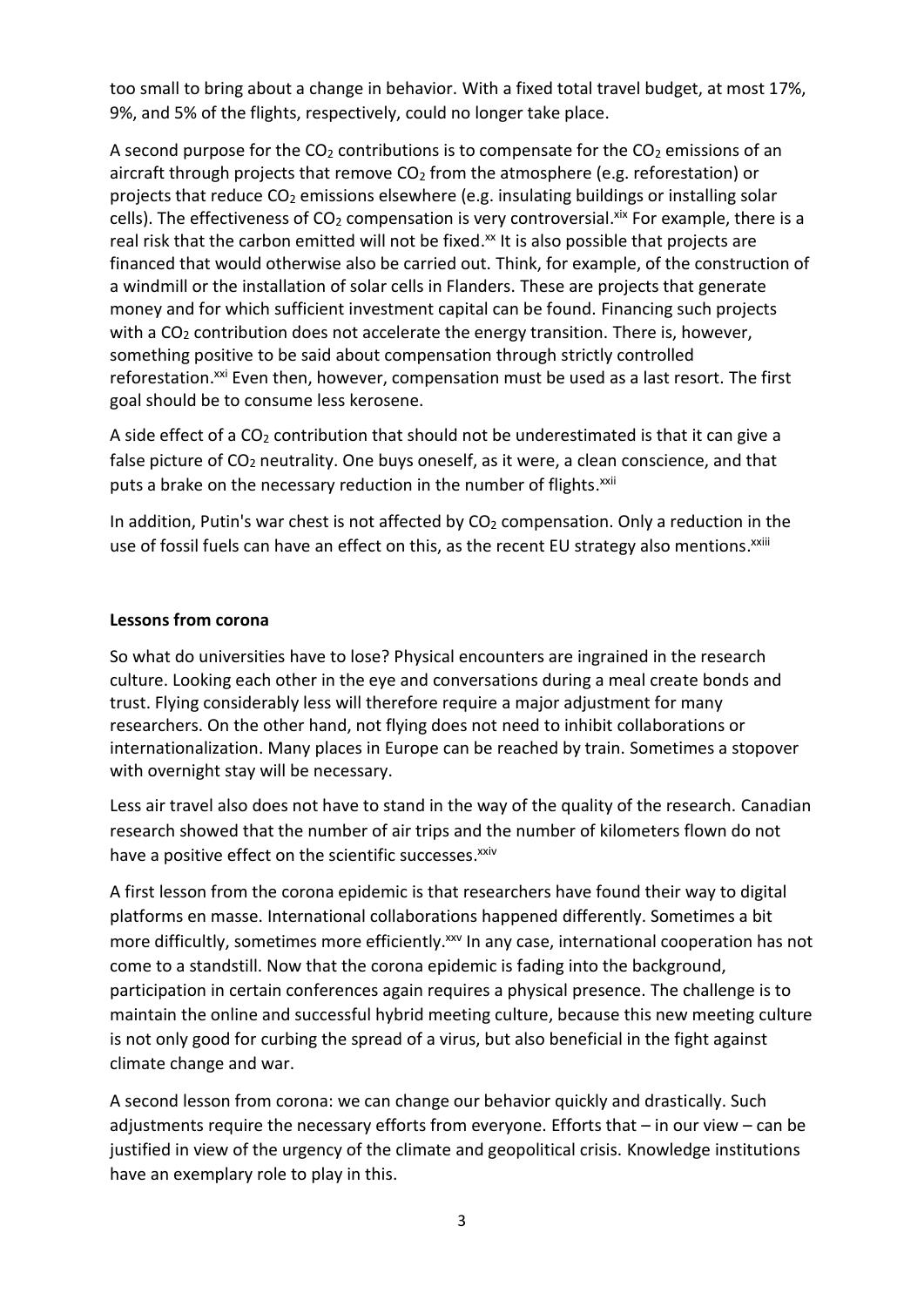too small to bring about a change in behavior. With a fixed total travel budget, at most 17%, 9%, and 5% of the flights, respectively, could no longer take place.

A second purpose for the CO<sub>2</sub> contributions is to compensate for the CO<sub>2</sub> emissions of an aircraft through projects that remove  $CO<sub>2</sub>$  from the atmosphere (e.g. reforestation) or projects that reduce  $CO<sub>2</sub>$  emissions elsewhere (e.g. insulating buildings or installing solar cells). The effectiveness of  $CO<sub>2</sub>$  compensation is very controversial.<sup>xix</sup> For example, there is a real risk that the carbon emitted will not be fixed.<sup>xx</sup> It is also possible that projects are financed that would otherwise also be carried out. Think, for example, of the construction of a windmill or the installation of solar cells in Flanders. These are projects that generate money and for which sufficient investment capital can be found. Financing such projects with a  $CO<sub>2</sub>$  contribution does not accelerate the energy transition. There is, however, something positive to be said about compensation through strictly controlled reforestation.<sup>xxi</sup> Even then, however, compensation must be used as a last resort. The first goal should be to consume less kerosene.

A side effect of a  $CO<sub>2</sub>$  contribution that should not be underestimated is that it can give a false picture of  $CO<sub>2</sub>$  neutrality. One buys oneself, as it were, a clean conscience, and that puts a brake on the necessary reduction in the number of flights.<sup>xxii</sup>

In addition, Putin's war chest is not affected by  $CO<sub>2</sub>$  compensation. Only a reduction in the use of fossil fuels can have an effect on this, as the recent EU strategy also mentions.<sup>xxiii</sup>

#### **Lessons from corona**

So what do universities have to lose? Physical encounters are ingrained in the research culture. Looking each other in the eye and conversations during a meal create bonds and trust. Flying considerably less will therefore require a major adjustment for many researchers. On the other hand, not flying does not need to inhibit collaborations or internationalization. Many places in Europe can be reached by train. Sometimes a stopover with overnight stay will be necessary.

Less air travel also does not have to stand in the way of the quality of the research. Canadian research showed that the number of air trips and the number of kilometers flown do not have a positive effect on the scientific successes.<sup>xxiv</sup>

A first lesson from the corona epidemic is that researchers have found their way to digital platforms en masse. International collaborations happened differently. Sometimes a bit more difficultly, sometimes more efficiently.<sup>xxv</sup> In any case, international cooperation has not come to a standstill. Now that the corona epidemic is fading into the background, participation in certain conferences again requires a physical presence. The challenge is to maintain the online and successful hybrid meeting culture, because this new meeting culture is not only good for curbing the spread of a virus, but also beneficial in the fight against climate change and war.

A second lesson from corona: we can change our behavior quickly and drastically. Such adjustments require the necessary efforts from everyone. Efforts that – in our view – can be justified in view of the urgency of the climate and geopolitical crisis. Knowledge institutions have an exemplary role to play in this.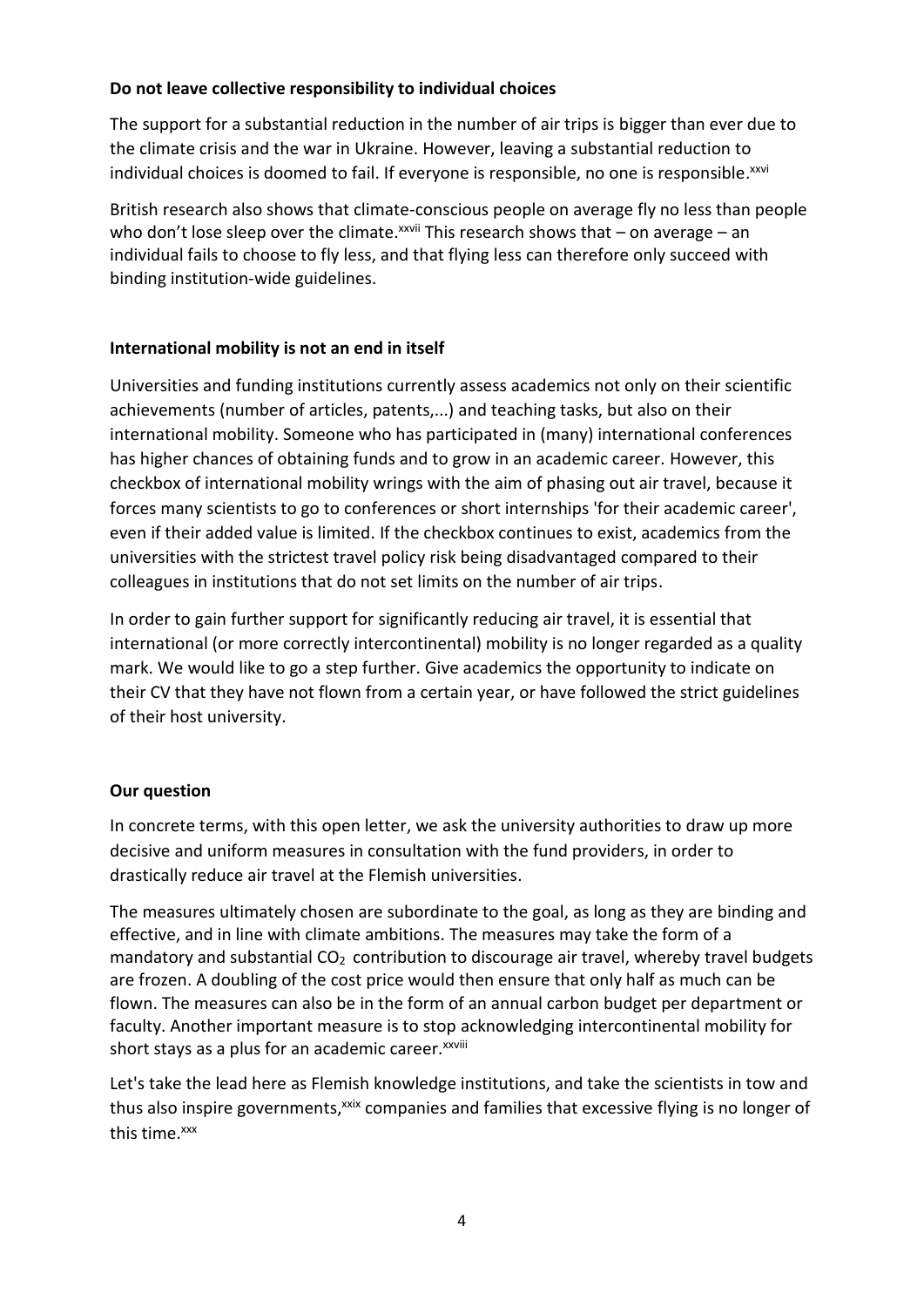#### **Do not leave collective responsibility to individual choices**

The support for a substantial reduction in the number of air trips is bigger than ever due to the climate crisis and the war in Ukraine. However, leaving a substantial reduction to individual choices is doomed to fail. If everyone is responsible, no one is responsible.<sup>xxvi</sup>

British research also shows that climate-conscious people on average fly no less than people who don't lose sleep over the climate. XXVII This research shows that - on average - an individual fails to choose to fly less, and that flying less can therefore only succeed with binding institution-wide guidelines.

#### **International mobility is not an end in itself**

Universities and funding institutions currently assess academics not only on their scientific achievements (number of articles, patents,...) and teaching tasks, but also on their international mobility. Someone who has participated in (many) international conferences has higher chances of obtaining funds and to grow in an academic career. However, this checkbox of international mobility wrings with the aim of phasing out air travel, because it forces many scientists to go to conferences or short internships 'for their academic career', even if their added value is limited. If the checkbox continues to exist, academics from the universities with the strictest travel policy risk being disadvantaged compared to their colleagues in institutions that do not set limits on the number of air trips.

In order to gain further support for significantly reducing air travel, it is essential that international (or more correctly intercontinental) mobility is no longer regarded as a quality mark. We would like to go a step further. Give academics the opportunity to indicate on their CV that they have not flown from a certain year, or have followed the strict guidelines of their host university.

### **Our question**

In concrete terms, with this open letter, we ask the university authorities to draw up more decisive and uniform measures in consultation with the fund providers, in order to drastically reduce air travel at the Flemish universities.

The measures ultimately chosen are subordinate to the goal, as long as they are binding and effective, and in line with climate ambitions. The measures may take the form of a mandatory and substantial CO<sub>2</sub> contribution to discourage air travel, whereby travel budgets are frozen. A doubling of the cost price would then ensure that only half as much can be flown. The measures can also be in the form of an annual carbon budget per department or faculty. Another important measure is to stop acknowledging intercontinental mobility for short stays as a plus for an academic career. XXVIII

Let's take the lead here as Flemish knowledge institutions, and take the scientists in tow and thus also inspire governments,<sup>xxix</sup> companies and families that excessive flying is no longer of this time.<sup>xxx</sup>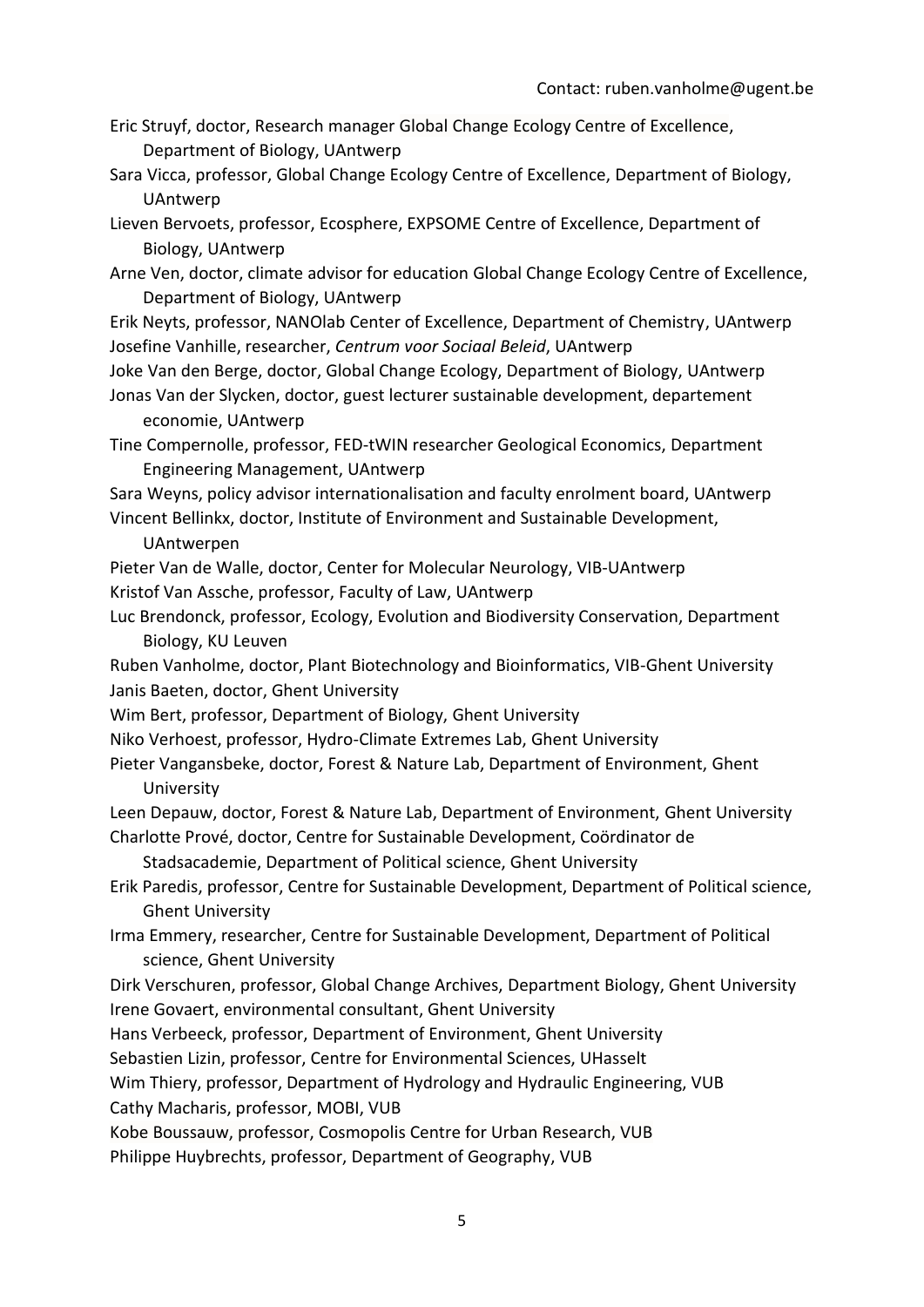- Eric Struyf, doctor, Research manager Global Change Ecology Centre of Excellence, Department of Biology, UAntwerp
- Sara Vicca, professor, Global Change Ecology Centre of Excellence, Department of Biology, **UAntwerp**

Lieven Bervoets, professor, Ecosphere, EXPSOME Centre of Excellence, Department of Biology, UAntwerp

Arne Ven, doctor, climate advisor for education Global Change Ecology Centre of Excellence, Department of Biology, UAntwerp

Erik Neyts, professor, NANOlab Center of Excellence, Department of Chemistry, UAntwerp Josefine Vanhille, researcher, *Centrum voor Sociaal Beleid*, UAntwerp

Joke Van den Berge, doctor, Global Change Ecology, Department of Biology, UAntwerp Jonas Van der Slycken, doctor, guest lecturer sustainable development, departement economie, UAntwerp

Tine Compernolle, professor, FED-tWIN researcher Geological Economics, Department Engineering Management, UAntwerp

Sara Weyns, policy advisor internationalisation and faculty enrolment board, UAntwerp Vincent Bellinkx, doctor, Institute of Environment and Sustainable Development,

UAntwerpen

Pieter Van de Walle, doctor, Center for Molecular Neurology, VIB-UAntwerp Kristof Van Assche, professor, Faculty of Law, UAntwerp

Luc Brendonck, professor, Ecology, Evolution and Biodiversity Conservation, Department Biology, KU Leuven

Ruben Vanholme, doctor, Plant Biotechnology and Bioinformatics, VIB-Ghent University Janis Baeten, doctor, Ghent University

Wim Bert, professor, Department of Biology, Ghent University

Niko Verhoest, professor, Hydro-Climate Extremes Lab, Ghent University

Pieter Vangansbeke, doctor, Forest & Nature Lab, Department of Environment, Ghent **University** 

Leen Depauw, doctor, Forest & Nature Lab, Department of Environment, Ghent University Charlotte Prové, doctor, Centre for Sustainable Development, Coördinator de

Stadsacademie, Department of Political science, Ghent University

Erik Paredis, professor, Centre for Sustainable Development, Department of Political science, Ghent University

Irma Emmery, researcher, Centre for Sustainable Development, Department of Political science, Ghent University

Dirk Verschuren, professor, Global Change Archives, Department Biology, Ghent University Irene Govaert, environmental consultant, Ghent University

Hans Verbeeck, professor, Department of Environment, Ghent University

Sebastien Lizin, professor, Centre for Environmental Sciences, UHasselt

Wim Thiery, professor, Department of Hydrology and Hydraulic Engineering, VUB Cathy Macharis, professor, MOBI, VUB

Kobe Boussauw, professor, Cosmopolis Centre for Urban Research, VUB

Philippe Huybrechts, professor, Department of Geography, VUB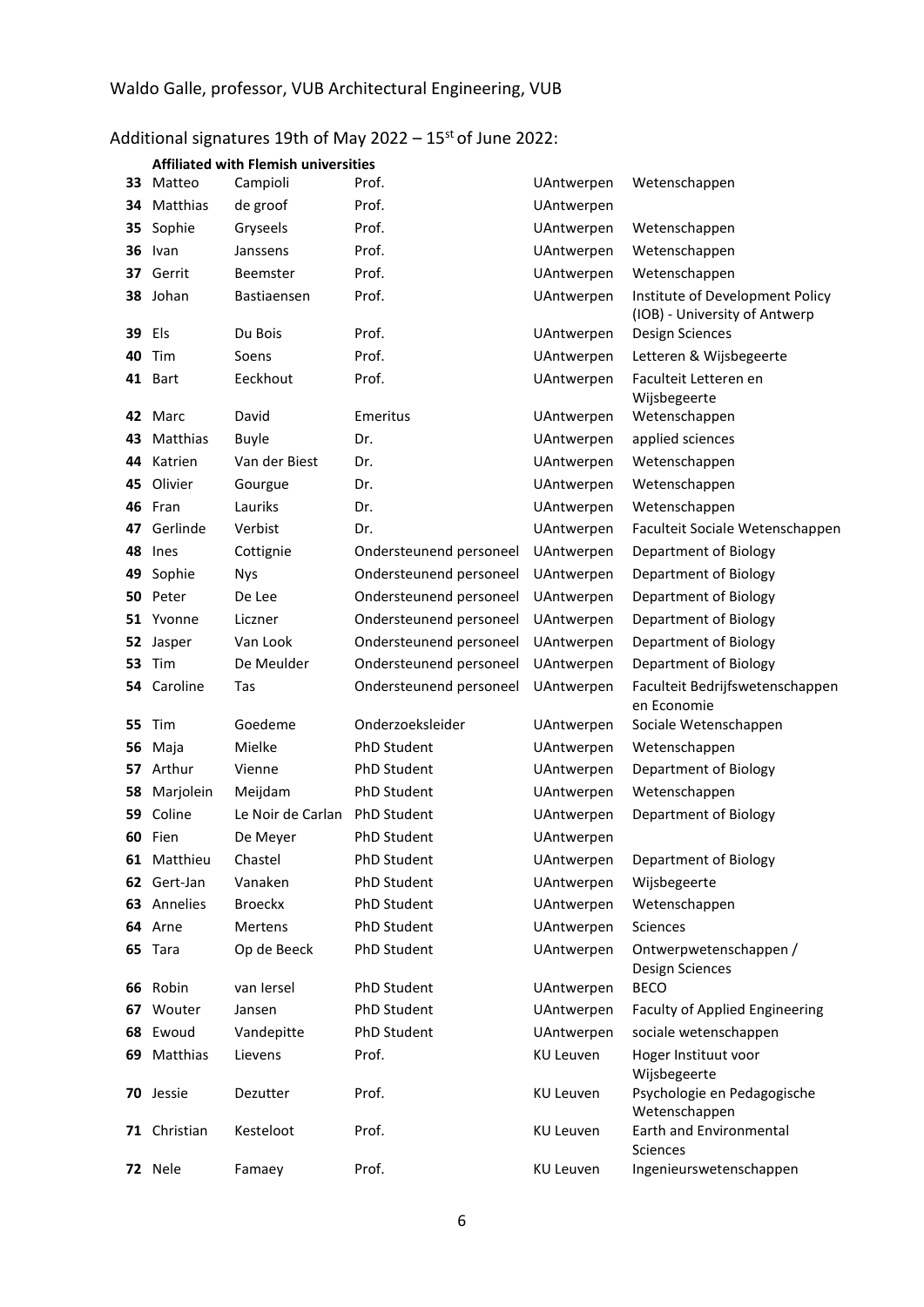# Waldo Galle, professor, VUB Architectural Engineering, VUB

#### Additional signatures 19th of May 2022 - 15<sup>st</sup> of June 2022:

|    |              | <b>Affiliated with Flemish universities</b> |                         |            |                                                                  |
|----|--------------|---------------------------------------------|-------------------------|------------|------------------------------------------------------------------|
|    | 33 Matteo    | Campioli                                    | Prof.                   | UAntwerpen | Wetenschappen                                                    |
| 34 | Matthias     | de groof                                    | Prof.                   | UAntwerpen |                                                                  |
| 35 | Sophie       | Gryseels                                    | Prof.                   | UAntwerpen | Wetenschappen                                                    |
| 36 | Ivan         | Janssens                                    | Prof.                   | UAntwerpen | Wetenschappen                                                    |
|    | 37 Gerrit    | <b>Beemster</b>                             | Prof.                   | UAntwerpen | Wetenschappen                                                    |
| 38 | Johan        | Bastiaensen                                 | Prof.                   | UAntwerpen | Institute of Development Policy<br>(IOB) - University of Antwerp |
| 39 | Els          | Du Bois                                     | Prof.                   | UAntwerpen | Design Sciences                                                  |
| 40 | Tim          | Soens                                       | Prof.                   | UAntwerpen | Letteren & Wijsbegeerte                                          |
|    | 41 Bart      | Eeckhout                                    | Prof.                   | UAntwerpen | Faculteit Letteren en<br>Wijsbegeerte                            |
|    | 42 Marc      | David                                       | Emeritus                | UAntwerpen | Wetenschappen                                                    |
| 43 | Matthias     | Buyle                                       | Dr.                     | UAntwerpen | applied sciences                                                 |
| 44 | Katrien      | Van der Biest                               | Dr.                     | UAntwerpen | Wetenschappen                                                    |
| 45 | Olivier      | Gourgue                                     | Dr.                     | UAntwerpen | Wetenschappen                                                    |
| 46 | Fran         | Lauriks                                     | Dr.                     | UAntwerpen | Wetenschappen                                                    |
| 47 | Gerlinde     | Verbist                                     | Dr.                     | UAntwerpen | Faculteit Sociale Wetenschappen                                  |
| 48 | Ines         | Cottignie                                   | Ondersteunend personeel | UAntwerpen | Department of Biology                                            |
| 49 | Sophie       | <b>Nys</b>                                  | Ondersteunend personeel | UAntwerpen | Department of Biology                                            |
| 50 | Peter        | De Lee                                      | Ondersteunend personeel | UAntwerpen | Department of Biology                                            |
|    | 51 Yvonne    | Liczner                                     | Ondersteunend personeel | UAntwerpen | Department of Biology                                            |
| 52 | Jasper       | Van Look                                    | Ondersteunend personeel | UAntwerpen | Department of Biology                                            |
| 53 | Tim          | De Meulder                                  | Ondersteunend personeel | UAntwerpen | Department of Biology                                            |
| 54 | Caroline     | Tas                                         | Ondersteunend personeel | UAntwerpen | Faculteit Bedrijfswetenschappen<br>en Economie                   |
| 55 | Tim          | Goedeme                                     | Onderzoeksleider        | UAntwerpen | Sociale Wetenschappen                                            |
| 56 | Maja         | Mielke                                      | <b>PhD Student</b>      | UAntwerpen | Wetenschappen                                                    |
| 57 | Arthur       | Vienne                                      | <b>PhD Student</b>      | UAntwerpen | Department of Biology                                            |
| 58 | Marjolein    | Meijdam                                     | <b>PhD Student</b>      | UAntwerpen | Wetenschappen                                                    |
| 59 | Coline       | Le Noir de Carlan                           | PhD Student             | UAntwerpen | Department of Biology                                            |
| 60 | Fien         | De Meyer                                    | PhD Student             | UAntwerpen |                                                                  |
| 61 | Matthieu     | Chastel                                     | PhD Student             | UAntwerpen | Department of Biology                                            |
|    | 62 Gert-Jan  | Vanaken                                     | PhD Student             | UAntwerpen | Wijsbegeerte                                                     |
|    | 63 Annelies  | <b>Broeckx</b>                              | PhD Student             | UAntwerpen | Wetenschappen                                                    |
|    | 64 Arne      | <b>Mertens</b>                              | PhD Student             | UAntwerpen | Sciences                                                         |
|    | 65 Tara      | Op de Beeck                                 | PhD Student             | UAntwerpen | Ontwerpwetenschappen /<br>Design Sciences                        |
|    | 66 Robin     | van Iersel                                  | PhD Student             | UAntwerpen | <b>BECO</b>                                                      |
| 67 | Wouter       | Jansen                                      | PhD Student             | UAntwerpen | <b>Faculty of Applied Engineering</b>                            |
|    | 68 Ewoud     | Vandepitte                                  | PhD Student             | UAntwerpen | sociale wetenschappen                                            |
| 69 | Matthias     | Lievens                                     | Prof.                   | KU Leuven  | Hoger Instituut voor<br>Wijsbegeerte                             |
|    | 70 Jessie    | Dezutter                                    | Prof.                   | KU Leuven  | Psychologie en Pedagogische<br>Wetenschappen                     |
|    | 71 Christian | Kesteloot                                   | Prof.                   | KU Leuven  | Earth and Environmental<br>Sciences                              |
|    | 72 Nele      | Famaey                                      | Prof.                   | KU Leuven  | Ingenieurswetenschappen                                          |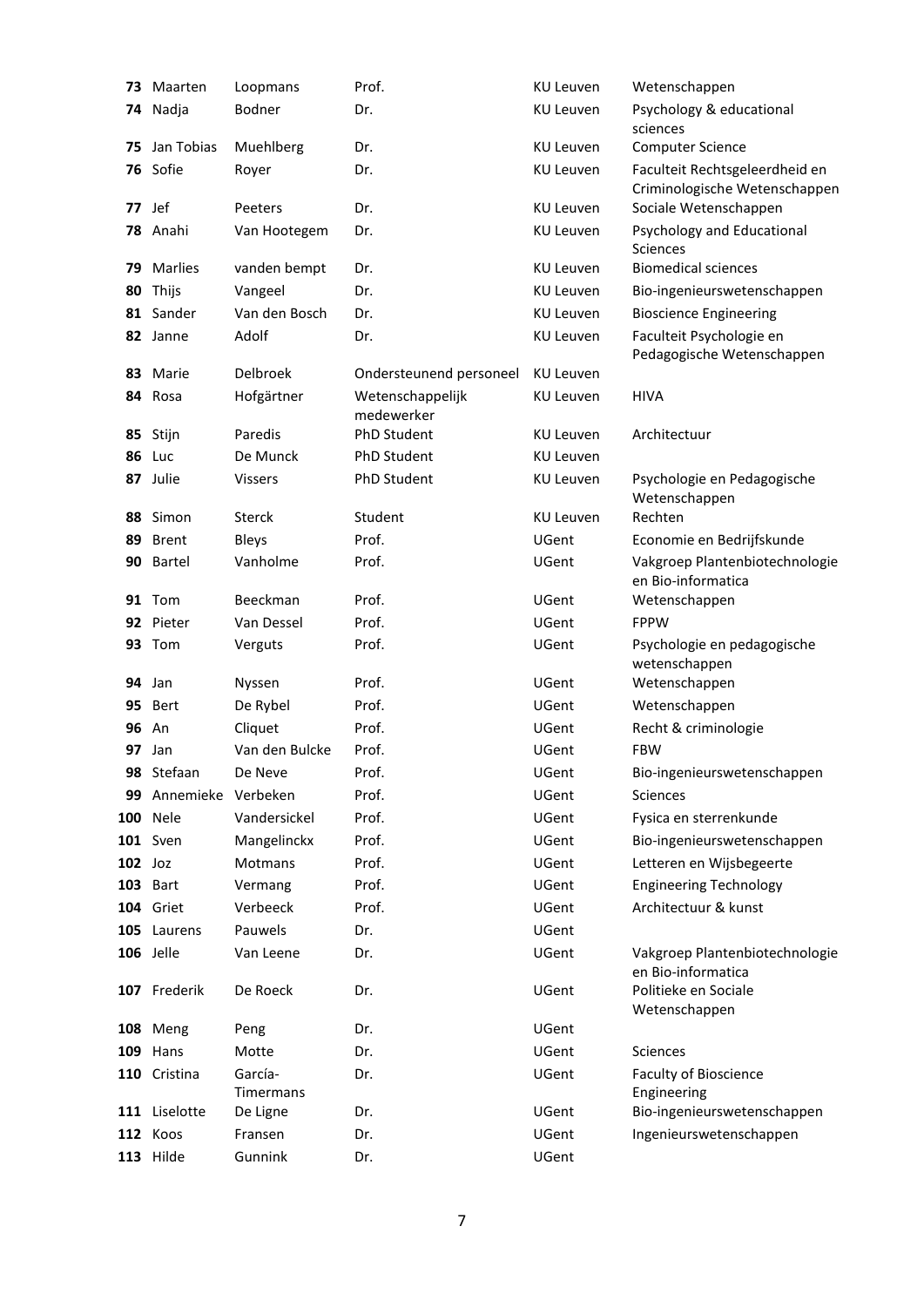| 73      | Maarten               | Loopmans             | Prof.                          | <b>KU Leuven</b> | Wetenschappen                                                   |
|---------|-----------------------|----------------------|--------------------------------|------------------|-----------------------------------------------------------------|
|         | 74 Nadja              | Bodner               | Dr.                            | <b>KU Leuven</b> | Psychology & educational<br>sciences                            |
| 75      | Jan Tobias            | Muehlberg            | Dr.                            | <b>KU Leuven</b> | <b>Computer Science</b>                                         |
|         | 76 Sofie              | Royer                | Dr.                            | <b>KU Leuven</b> | Faculteit Rechtsgeleerdheid en<br>Criminologische Wetenschappen |
|         | 77 Jef                | Peeters              | Dr.                            | <b>KU Leuven</b> | Sociale Wetenschappen                                           |
|         | 78 Anahi              | Van Hootegem         | Dr.                            | <b>KU Leuven</b> | Psychology and Educational<br><b>Sciences</b>                   |
| 79      | Marlies               | vanden bempt         | Dr.                            | <b>KU Leuven</b> | <b>Biomedical sciences</b>                                      |
| 80      | Thijs                 | Vangeel              | Dr.                            | <b>KU Leuven</b> | Bio-ingenieurswetenschappen                                     |
|         | 81 Sander             | Van den Bosch        | Dr.                            | <b>KU Leuven</b> | <b>Bioscience Engineering</b>                                   |
|         | 82 Janne              | Adolf                | Dr.                            | <b>KU Leuven</b> | Faculteit Psychologie en<br>Pedagogische Wetenschappen          |
|         | 83 Marie              | Delbroek             | Ondersteunend personeel        | <b>KU Leuven</b> |                                                                 |
|         | 84 Rosa               | Hofgärtner           | Wetenschappelijk<br>medewerker | <b>KU Leuven</b> | <b>HIVA</b>                                                     |
|         | 85 Stijn              | Paredis              | PhD Student                    | <b>KU Leuven</b> | Architectuur                                                    |
|         | 86 Luc                | De Munck             | <b>PhD Student</b>             | <b>KU Leuven</b> |                                                                 |
|         | 87 Julie              | <b>Vissers</b>       | PhD Student                    | <b>KU Leuven</b> | Psychologie en Pedagogische<br>Wetenschappen                    |
|         | 88 Simon              | <b>Sterck</b>        | Student                        | <b>KU Leuven</b> | Rechten                                                         |
| 89      | <b>Brent</b>          | <b>Bleys</b>         | Prof.                          | UGent            | Economie en Bedrijfskunde                                       |
|         | 90 Bartel             | Vanholme             | Prof.                          | UGent            | Vakgroep Plantenbiotechnologie<br>en Bio-informatica            |
|         | <b>91</b> Tom         | Beeckman             | Prof.                          | UGent            | Wetenschappen                                                   |
|         | 92 Pieter             | Van Dessel           | Prof.                          | UGent            | <b>FPPW</b>                                                     |
|         | <b>93</b> Tom         | Verguts              | Prof.                          | UGent            | Psychologie en pedagogische<br>wetenschappen                    |
|         | <b>94</b> Jan         | Nyssen               | Prof.                          | UGent            | Wetenschappen                                                   |
| 95      | Bert                  | De Rybel             | Prof.                          | UGent            | Wetenschappen                                                   |
|         | 96 An                 | Cliquet              | Prof.                          | UGent            | Recht & criminologie                                            |
|         | <b>97</b> Jan         | Van den Bulcke       | Prof.                          | UGent            | <b>FBW</b>                                                      |
| 98      | Stefaan               | De Neve              | Prof.                          | UGent            | Bio-ingenieurswetenschappen                                     |
|         | 99 Annemieke Verbeken |                      | Prof.                          | UGent            | Sciences                                                        |
|         | <b>100 Nele</b>       | Vandersickel         | Prof.                          | <b>UGent</b>     | Fysica en sterrenkunde                                          |
|         | <b>101</b> Sven       | Mangelinckx          | Prof.                          | <b>UGent</b>     | Bio-ingenieurswetenschappen                                     |
| 102 Joz |                       | Motmans              | Prof.                          | UGent            | Letteren en Wijsbegeerte                                        |
|         | <b>103</b> Bart       | Vermang              | Prof.                          | UGent            | <b>Engineering Technology</b>                                   |
|         | 104 Griet             | Verbeeck             | Prof.                          | UGent            | Architectuur & kunst                                            |
|         | 105 Laurens           | Pauwels              | Dr.                            | UGent            |                                                                 |
|         | 106 Jelle             | Van Leene            | Dr.                            | UGent            | Vakgroep Plantenbiotechnologie<br>en Bio-informatica            |
|         | 107 Frederik          | De Roeck             | Dr.                            | UGent            | Politieke en Sociale<br>Wetenschappen                           |
|         | 108 Meng              | Peng                 | Dr.                            | UGent            |                                                                 |
|         | <b>109 Hans</b>       | Motte                | Dr.                            | UGent            | Sciences                                                        |
|         | 110 Cristina          | García-<br>Timermans | Dr.                            | UGent            | <b>Faculty of Bioscience</b><br>Engineering                     |
|         | 111 Liselotte         | De Ligne             | Dr.                            | UGent            | Bio-ingenieurswetenschappen                                     |
|         | 112 Koos              | Fransen              | Dr.                            | UGent            | Ingenieurswetenschappen                                         |
|         | 113 Hilde             | Gunnink              | Dr.                            | UGent            |                                                                 |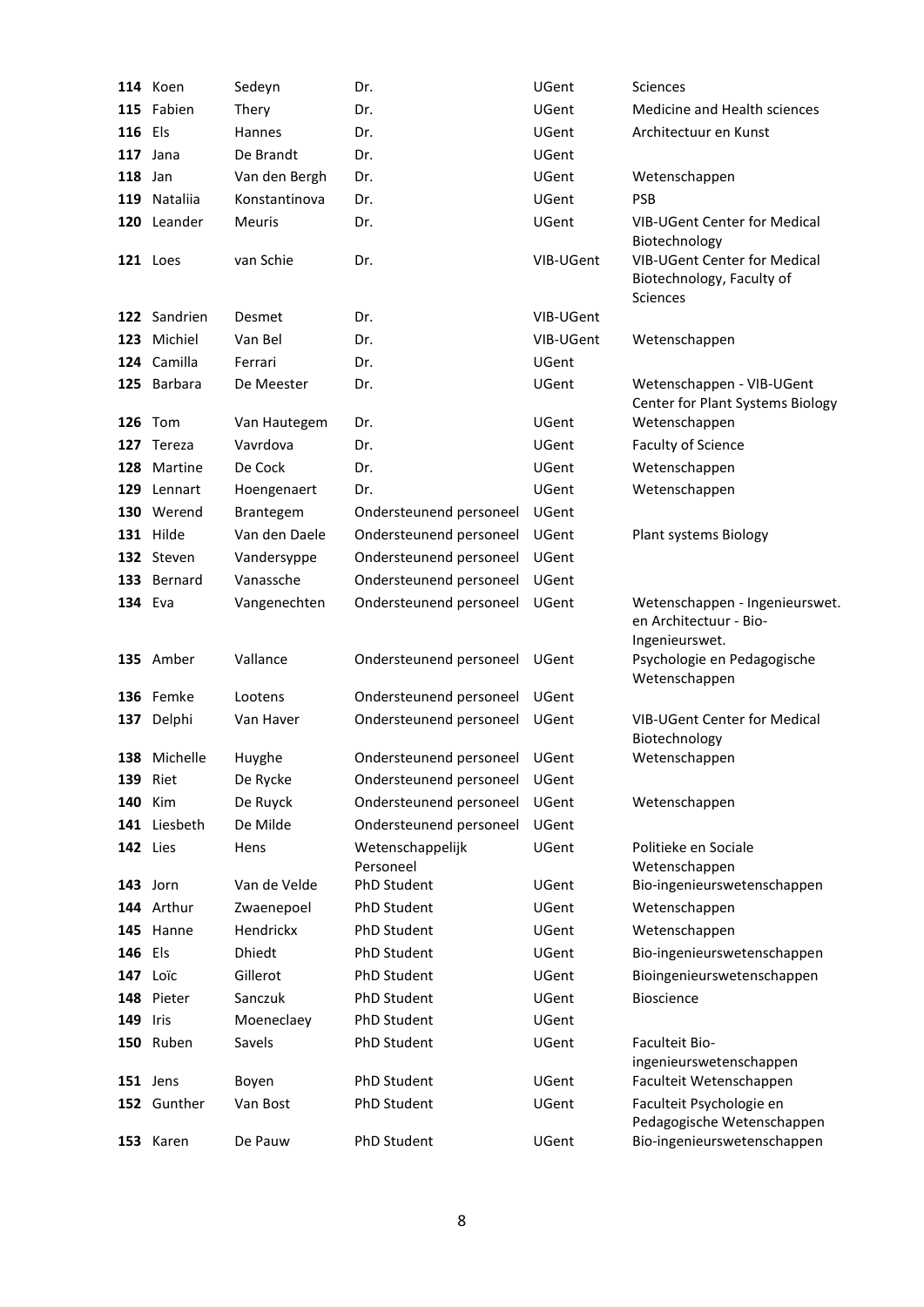|                 | 114 Koen        | Sedeyn           | Dr.                           | UGent        | Sciences                                                                            |
|-----------------|-----------------|------------------|-------------------------------|--------------|-------------------------------------------------------------------------------------|
|                 | 115 Fabien      | Thery            | Dr.                           | UGent        | Medicine and Health sciences                                                        |
| 116 Els         |                 | Hannes           | Dr.                           | UGent        | Architectuur en Kunst                                                               |
|                 | $117$ Jana      | De Brandt        | Dr.                           | UGent        |                                                                                     |
| <b>118</b> Jan  |                 | Van den Bergh    | Dr.                           | <b>UGent</b> | Wetenschappen                                                                       |
|                 | 119 Natalija    | Konstantinova    | Dr.                           | UGent        | <b>PSB</b>                                                                          |
|                 | 120 Leander     | <b>Meuris</b>    | Dr.                           | UGent        | <b>VIB-UGent Center for Medical</b><br>Biotechnology                                |
|                 | 121 Loes        | van Schie        | Dr.                           | VIB-UGent    | <b>VIB-UGent Center for Medical</b><br>Biotechnology, Faculty of<br><b>Sciences</b> |
|                 | 122 Sandrien    | Desmet           | Dr.                           | VIB-UGent    |                                                                                     |
|                 | 123 Michiel     | Van Bel          | Dr.                           | VIB-UGent    | Wetenschappen                                                                       |
|                 | 124 Camilla     | Ferrari          | Dr.                           | UGent        |                                                                                     |
|                 | 125 Barbara     | De Meester       | Dr.                           | UGent        | Wetenschappen - VIB-UGent<br>Center for Plant Systems Biology                       |
|                 | <b>126</b> Tom  | Van Hautegem     | Dr.                           | UGent        | Wetenschappen                                                                       |
|                 | 127 Tereza      | Vavrdova         | Dr.                           | UGent        | Faculty of Science                                                                  |
|                 | 128 Martine     | De Cock          | Dr.                           | UGent        | Wetenschappen                                                                       |
|                 | 129 Lennart     | Hoengenaert      | Dr.                           | UGent        | Wetenschappen                                                                       |
|                 | 130 Werend      | <b>Brantegem</b> | Ondersteunend personeel       | <b>UGent</b> |                                                                                     |
|                 | 131 Hilde       | Van den Daele    | Ondersteunend personeel       | UGent        | Plant systems Biology                                                               |
|                 | 132 Steven      | Vandersyppe      | Ondersteunend personeel       | UGent        |                                                                                     |
|                 | 133 Bernard     | Vanassche        | Ondersteunend personeel       | UGent        |                                                                                     |
| <b>134 Eva</b>  |                 | Vangenechten     | Ondersteunend personeel       | <b>UGent</b> | Wetenschappen - Ingenieurswet.<br>en Architectuur - Bio-<br>Ingenieurswet.          |
|                 | 135 Amber       | Vallance         | Ondersteunend personeel       | <b>UGent</b> | Psychologie en Pedagogische<br>Wetenschappen                                        |
|                 | 136 Femke       | Lootens          | Ondersteunend personeel       | UGent        |                                                                                     |
| 137             | Delphi          | Van Haver        | Ondersteunend personeel       | UGent        | <b>VIB-UGent Center for Medical</b><br>Biotechnology                                |
|                 | 138 Michelle    | Huyghe           | Ondersteunend personeel UGent |              | Wetenschappen                                                                       |
| 139             | Riet            | De Rycke         | Ondersteunend personeel       | UGent        |                                                                                     |
| 140             | Kim             | De Ruyck         | Ondersteunend personeel       | <b>UGent</b> | Wetenschappen                                                                       |
|                 | 141 Liesbeth    | De Milde         | Ondersteunend personeel       | UGent        |                                                                                     |
| 142 Lies        |                 | Hens             | Wetenschappelijk<br>Personeel | <b>UGent</b> | Politieke en Sociale<br>Wetenschappen                                               |
|                 | <b>143</b> Jorn | Van de Velde     | PhD Student                   | UGent        | Bio-ingenieurswetenschappen                                                         |
|                 | 144 Arthur      | Zwaenepoel       | <b>PhD Student</b>            | UGent        | Wetenschappen                                                                       |
|                 | 145 Hanne       | Hendrickx        | PhD Student                   | <b>UGent</b> | Wetenschappen                                                                       |
| 146 Els         |                 | <b>Dhiedt</b>    | PhD Student                   | UGent        | Bio-ingenieurswetenschappen                                                         |
| 147             | Loïc            | Gillerot         | PhD Student                   | UGent        | Bioingenieurswetenschappen                                                          |
|                 | 148 Pieter      | Sanczuk          | PhD Student                   | UGent        | <b>Bioscience</b>                                                                   |
| <b>149</b> Iris |                 | Moeneclaey       | PhD Student                   | UGent        |                                                                                     |
|                 | 150 Ruben       | Savels           | PhD Student                   | UGent        | Faculteit Bio-<br>ingenieurswetenschappen                                           |
|                 | 151 Jens        | Boyen            | PhD Student                   | UGent        | Faculteit Wetenschappen                                                             |
|                 | 152 Gunther     | Van Bost         | PhD Student                   | UGent        | Faculteit Psychologie en<br>Pedagogische Wetenschappen                              |
|                 | 153 Karen       | De Pauw          | PhD Student                   | UGent        | Bio-ingenieurswetenschappen                                                         |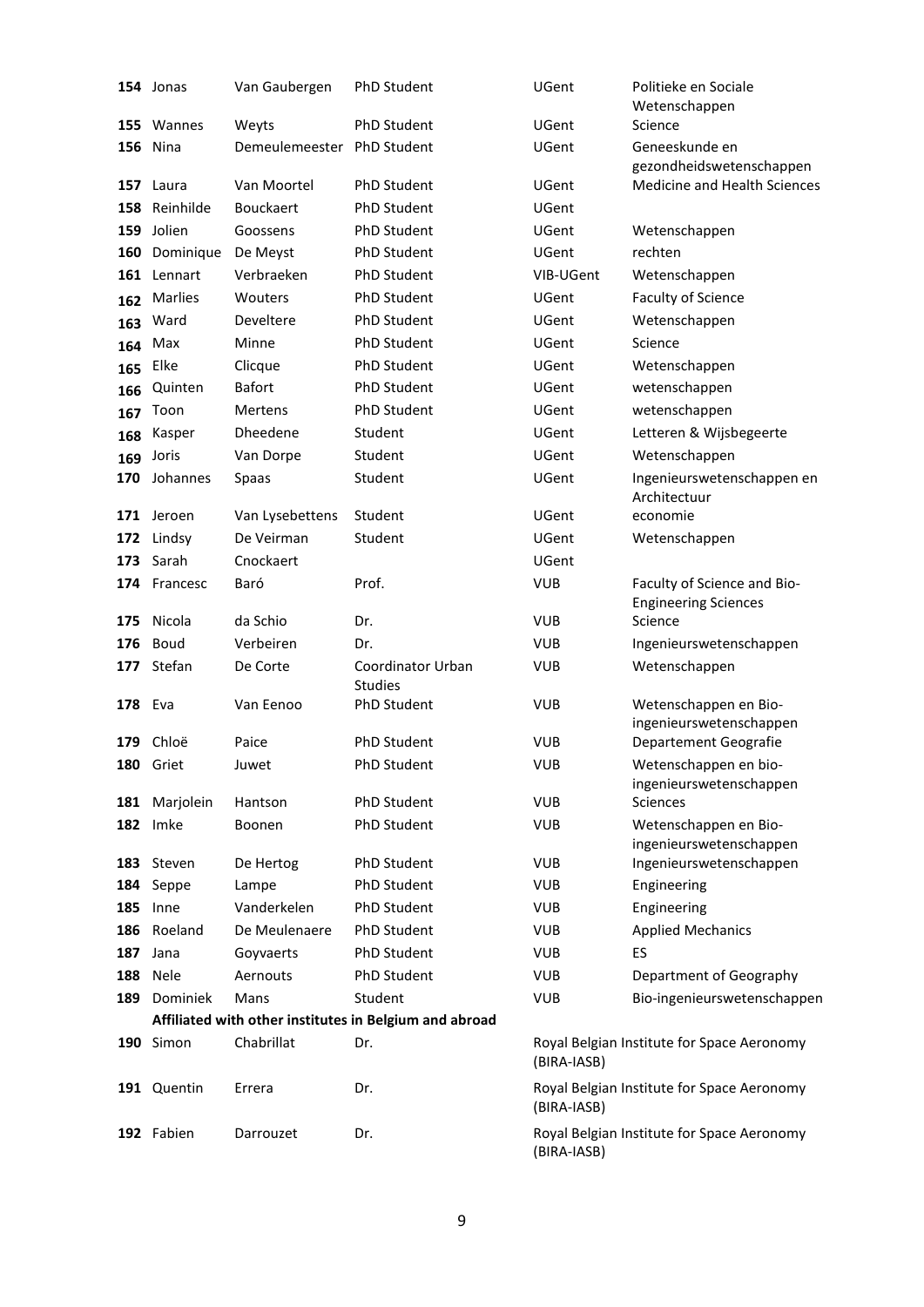|                | 154 Jonas   | Van Gaubergen    | PhD Student                                            | UGent                                                     | Politieke en Sociale<br>Wetenschappen                      |
|----------------|-------------|------------------|--------------------------------------------------------|-----------------------------------------------------------|------------------------------------------------------------|
|                | 155 Wannes  | Weyts            | <b>PhD Student</b>                                     | UGent                                                     | Science                                                    |
| 156            | Nina        | Demeulemeester   | <b>PhD Student</b>                                     | UGent                                                     | Geneeskunde en<br>gezondheidswetenschappen                 |
|                | 157 Laura   | Van Moortel      | PhD Student                                            | UGent                                                     | Medicine and Health Sciences                               |
| 158            | Reinhilde   | <b>Bouckaert</b> | PhD Student                                            | UGent                                                     |                                                            |
| 159            | Jolien      | Goossens         | PhD Student                                            | UGent                                                     | Wetenschappen                                              |
| 160            | Dominique   | De Meyst         | PhD Student                                            | UGent                                                     | rechten                                                    |
| 161            | Lennart     | Verbraeken       | PhD Student                                            | VIB-UGent                                                 | Wetenschappen                                              |
| 162            | Marlies     | Wouters          | PhD Student                                            | UGent                                                     | Faculty of Science                                         |
| 163            | Ward        | Develtere        | PhD Student                                            | UGent                                                     | Wetenschappen                                              |
| 164            | Max         | Minne            | PhD Student                                            | UGent                                                     | Science                                                    |
| 165            | Elke        | Clicque          | PhD Student                                            | UGent                                                     | Wetenschappen                                              |
| 166            | Quinten     | <b>Bafort</b>    | PhD Student                                            | UGent                                                     | wetenschappen                                              |
| 167            | Toon        | Mertens          | PhD Student                                            | <b>UGent</b>                                              | wetenschappen                                              |
| 168            | Kasper      | Dheedene         | Student                                                | UGent                                                     | Letteren & Wijsbegeerte                                    |
| 169            | Joris       | Van Dorpe        | Student                                                | UGent                                                     | Wetenschappen                                              |
| 170            | Johannes    | Spaas            | Student                                                | UGent                                                     | Ingenieurswetenschappen en<br>Architectuur                 |
| 171            | Jeroen      | Van Lysebettens  | Student                                                | UGent                                                     | economie                                                   |
| 172            | Lindsy      | De Veirman       | Student                                                | UGent                                                     | Wetenschappen                                              |
| 173            | Sarah       | Cnockaert        |                                                        | UGent                                                     |                                                            |
| 174            | Francesc    | Baró             | Prof.                                                  | <b>VUB</b>                                                | Faculty of Science and Bio-<br><b>Engineering Sciences</b> |
| 175            | Nicola      | da Schio         | Dr.                                                    | <b>VUB</b>                                                | Science                                                    |
| 176            | Boud        | Verbeiren        | Dr.                                                    | <b>VUB</b>                                                | Ingenieurswetenschappen                                    |
| 177            | Stefan      | De Corte         | Coordinator Urban<br><b>Studies</b>                    | <b>VUB</b>                                                | Wetenschappen                                              |
| <b>178</b> Eva |             | Van Eenoo        | PhD Student                                            | <b>VUB</b>                                                | Wetenschappen en Bio-<br>ingenieurswetenschappen           |
| 179            | Chloë       | Paice            | <b>PhD Student</b>                                     | <b>VUB</b>                                                | Departement Geografie                                      |
| 180            | Griet       | Juwet            | <b>PhD Student</b>                                     | <b>VUB</b>                                                | Wetenschappen en bio-<br>ingenieurswetenschappen           |
| 181            | Marjolein   | Hantson          | PhD Student                                            | <b>VUB</b>                                                | <b>Sciences</b>                                            |
| 182            | Imke        | Boonen           | PhD Student                                            | <b>VUB</b>                                                | Wetenschappen en Bio-<br>ingenieurswetenschappen           |
| 183            | Steven      | De Hertog        | PhD Student                                            | <b>VUB</b>                                                | Ingenieurswetenschappen                                    |
| 184            | Seppe       | Lampe            | PhD Student                                            | <b>VUB</b>                                                | Engineering                                                |
| 185            | Inne        | Vanderkelen      | PhD Student                                            | <b>VUB</b>                                                | Engineering                                                |
| 186            | Roeland     | De Meulenaere    | PhD Student                                            | <b>VUB</b>                                                | <b>Applied Mechanics</b>                                   |
| 187            | Jana        | Goyvaerts        | PhD Student                                            | <b>VUB</b>                                                | ES                                                         |
| 188            | Nele        | Aernouts         | PhD Student                                            | <b>VUB</b>                                                | Department of Geography                                    |
| 189            | Dominiek    | Mans             | Student                                                | <b>VUB</b>                                                | Bio-ingenieurswetenschappen                                |
|                |             |                  | Affiliated with other institutes in Belgium and abroad |                                                           |                                                            |
|                | 190 Simon   | Chabrillat       | Dr.                                                    | Royal Belgian Institute for Space Aeronomy<br>(BIRA-IASB) |                                                            |
|                | 191 Quentin | Errera           | Dr.                                                    | Royal Belgian Institute for Space Aeronomy<br>(BIRA-IASB) |                                                            |
|                | 192 Fabien  | Darrouzet        | Dr.                                                    | Royal Belgian Institute for Space Aeronomy<br>(BIRA-IASB) |                                                            |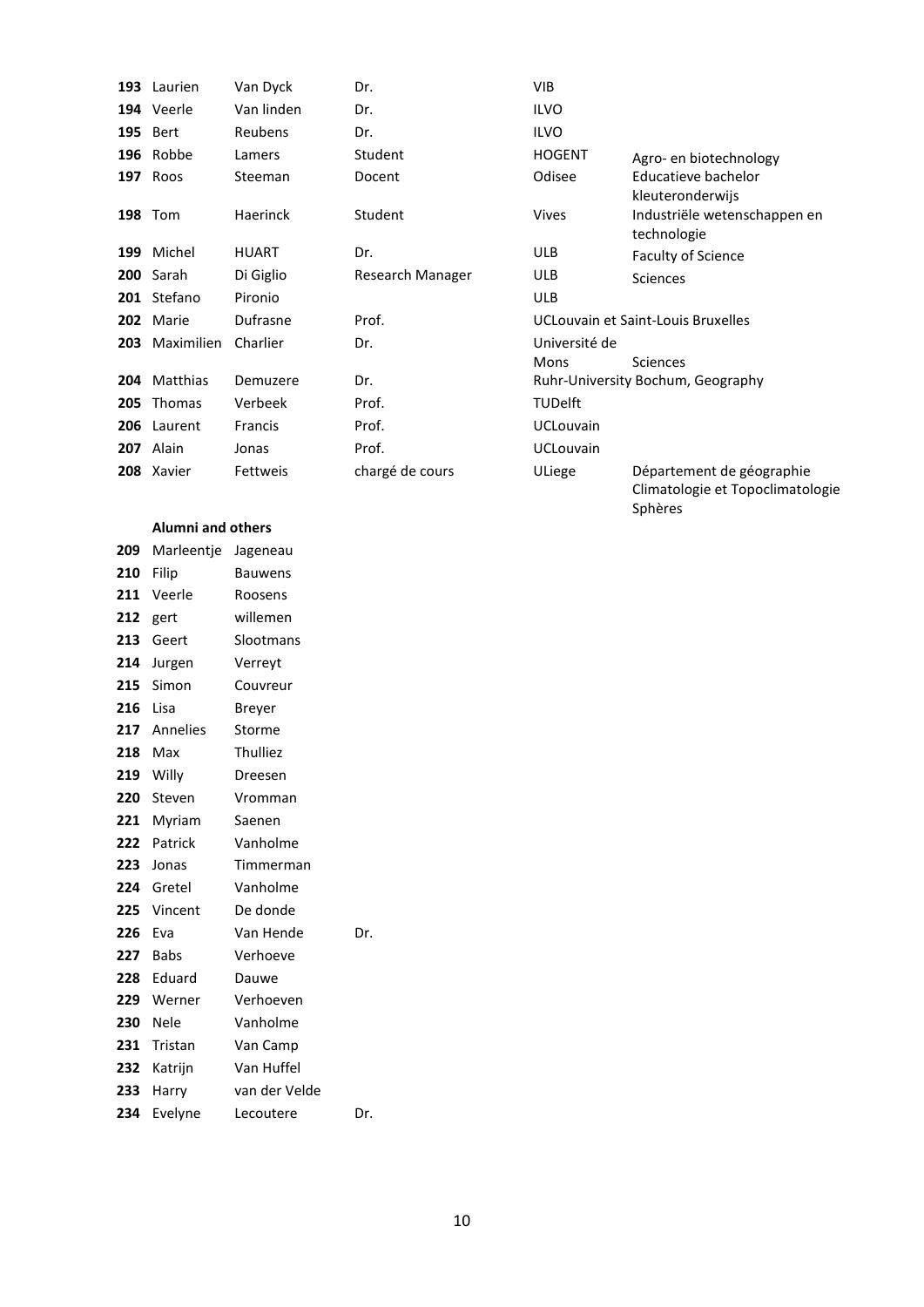|     | 193 Laurien     | Van Dyck     | Dr.              | <b>VIB</b>       |                                                                          |
|-----|-----------------|--------------|------------------|------------------|--------------------------------------------------------------------------|
|     | 194 Veerle      | Van linden   | Dr.              | <b>ILVO</b>      |                                                                          |
|     | <b>195</b> Bert | Reubens      | Dr.              | <b>ILVO</b>      |                                                                          |
| 196 | Robbe           | Lamers       | Student          | <b>HOGENT</b>    | Agro- en biotechnology                                                   |
|     | 197 Roos        | Steeman      | Docent           | Odisee           | Educatieve bachelor<br>kleuteronderwijs                                  |
|     | <b>198</b> Tom  | Haerinck     | Student          | <b>Vives</b>     | Industriële wetenschappen en<br>technologie                              |
| 199 | Michel          | <b>HUART</b> | Dr.              | <b>ULB</b>       | <b>Faculty of Science</b>                                                |
|     | 200 Sarah       | Di Giglio    | Research Manager | <b>ULB</b>       | <b>Sciences</b>                                                          |
|     | 201 Stefano     | Pironio      |                  | <b>ULB</b>       |                                                                          |
|     | 202 Marie       | Dufrasne     | Prof.            |                  | UCLouvain et Saint-Louis Bruxelles                                       |
| 203 | Maximilien      | Charlier     | Dr.              | Université de    |                                                                          |
|     |                 |              |                  | Mons             | Sciences                                                                 |
| 204 | Matthias        | Demuzere     | Dr.              |                  | Ruhr-University Bochum, Geography                                        |
| 205 | Thomas          | Verbeek      | Prof.            | <b>TUDelft</b>   |                                                                          |
| 206 | Laurent         | Francis      | Prof.            | <b>UCLouvain</b> |                                                                          |
| 207 | Alain           | Jonas        | Prof.            | UCLouvain        |                                                                          |
|     | 208 Xavier      | Fettweis     | chargé de cours  | ULiege           | Département de géographie<br>Climatologie et Topoclimatologie<br>Sphères |

#### **Alumni and others**

| 209             | Marleentje      | Jageneau       |     |
|-----------------|-----------------|----------------|-----|
| 210             | Filip           | <b>Bauwens</b> |     |
| 211             | Veerle          | Roosens        |     |
|                 | $212$ gert      | willemen       |     |
| 213             | Geert           | Slootmans      |     |
|                 | 214 Jurgen      | Verreyt        |     |
| 215             | Simon           | Couvreur       |     |
| <b>216</b> Lisa |                 | <b>Breyer</b>  |     |
|                 | 217 Annelies    | Storme         |     |
|                 | <b>218</b> Max  | Thulliez       |     |
| 219             | Willy           | Dreesen        |     |
| 220             | Steven          | Vromman        |     |
| 221             | Myriam          | Saenen         |     |
|                 | 222 Patrick     | Vanholme       |     |
|                 | 223 Jonas       | Timmerman      |     |
|                 | 224 Gretel      | Vanholme       |     |
|                 | 225 Vincent     | De donde       |     |
| 226             | Eva             | Van Hende      | Dr. |
|                 | 227 Babs        | Verhoeve       |     |
|                 | 228 Eduard      | Dauwe          |     |
|                 | 229 Werner      | Verhoeven      |     |
|                 | <b>230</b> Nele | Vanholme       |     |
|                 | 231 Tristan     | Van Camp       |     |
|                 | 232 Katrijn     | Van Huffel     |     |
| 233             | Harry           | van der Velde  |     |
| 234             | Evelyne         | Lecoutere      | Dr. |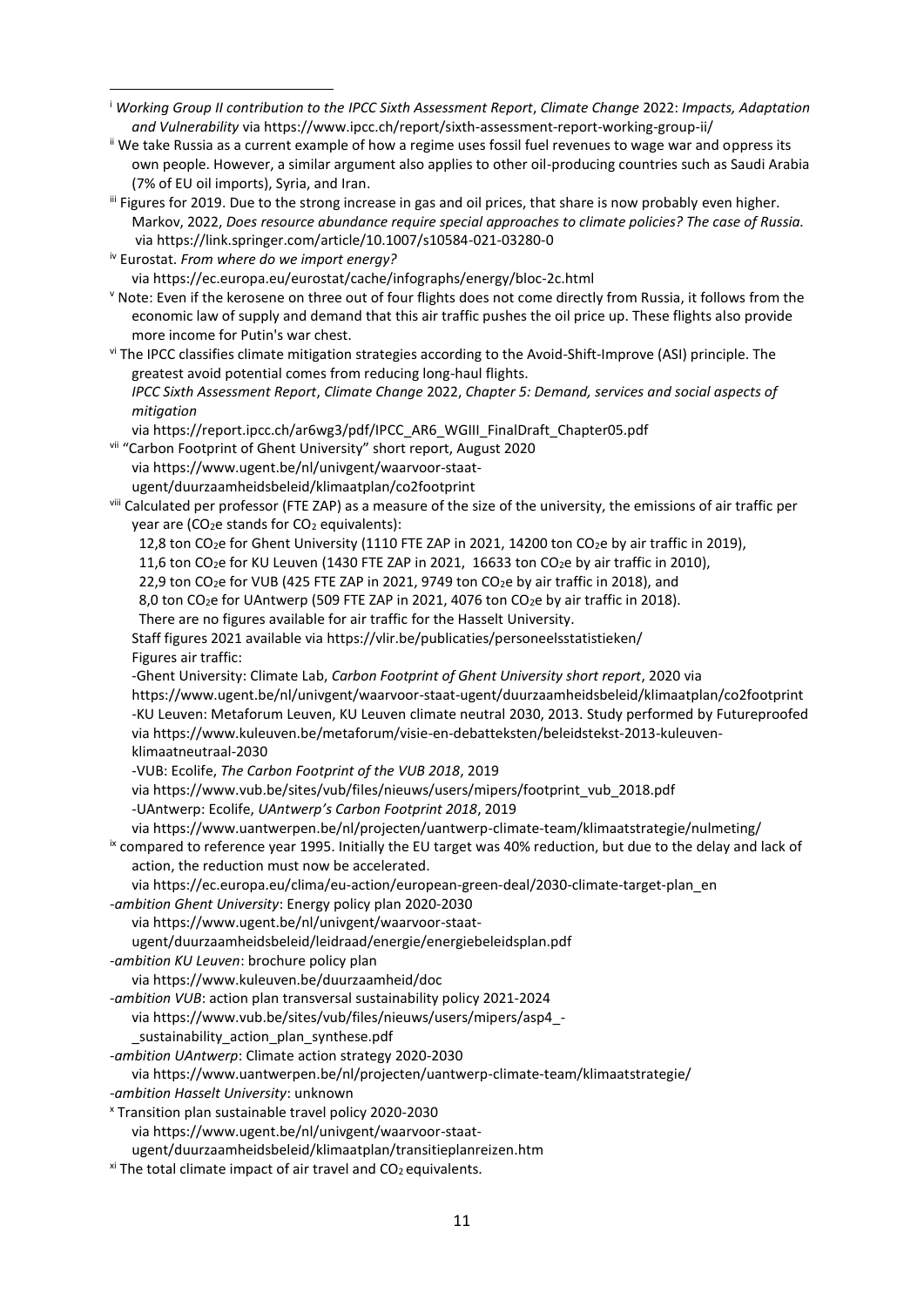<sup>i</sup> *Working Group II contribution to the IPCC Sixth Assessment Report*, *Climate Change* 2022: *Impacts, Adaptation and Vulnerability* via https://www.ipcc.ch/report/sixth-assessment-report-working-group-ii/ **.** 

- ii We take Russia as a current example of how a regime uses fossil fuel revenues to wage war and oppress its own people. However, a similar argument also applies to other oil-producing countries such as Saudi Arabia (7% of EU oil imports), Syria, and Iran.
- iii Figures for 2019. Due to the strong increase in gas and oil prices, that share is now probably even higher. Markov, 2022, *Does resource abundance require special approaches to climate policies? The case of Russia.* via https://link.springer.com/article/10.1007/s10584-021-03280-0
- iv Eurostat. *From where do we import energy?*
	- via https://ec.europa.eu/eurostat/cache/infographs/energy/bloc-2c.html
- <sup>v</sup> Note: Even if the kerosene on three out of four flights does not come directly from Russia, it follows from the economic law of supply and demand that this air traffic pushes the oil price up. These flights also provide more income for Putin's war chest.
- vi The IPCC classifies climate mitigation strategies according to the Avoid-Shift-Improve (ASI) principle. The greatest avoid potential comes from reducing long-haul flights. *IPCC Sixth Assessment Report*, *Climate Change* 2022, *Chapter 5: Demand, services and social aspects of mitigation*

via https://report.ipcc.ch/ar6wg3/pdf/IPCC\_AR6\_WGIII\_FinalDraft\_Chapter05.pdf

vii "Carbon Footprint of Ghent University" short report, August 2020

via https://www.ugent.be/nl/univgent/waarvoor-staatugent/duurzaamheidsbeleid/klimaatplan/co2footprint

viii Calculated per professor (FTE ZAP) as a measure of the size of the university, the emissions of air traffic per year are  $(CO<sub>2</sub>e$  stands for  $CO<sub>2</sub>$  equivalents):

12,8 ton CO2e for Ghent University (1110 FTE ZAP in 2021, 14200 ton CO2e by air traffic in 2019),

11,6 ton CO<sub>2</sub>e for KU Leuven (1430 FTE ZAP in 2021, 16633 ton CO<sub>2</sub>e by air traffic in 2010),

22,9 ton CO<sub>2</sub>e for VUB (425 FTE ZAP in 2021, 9749 ton CO<sub>2</sub>e by air traffic in 2018), and

8,0 ton CO<sub>2</sub>e for UAntwerp (509 FTE ZAP in 2021, 4076 ton CO<sub>2</sub>e by air traffic in 2018).

There are no figures available for air traffic for the Hasselt University.

```
Staff figures 2021 available via https://vlir.be/publicaties/personeelsstatistieken/
Figures air traffic:
```
-Ghent University: Climate Lab, *Carbon Footprint of Ghent University short report*, 2020 via

https://www.ugent.be/nl/univgent/waarvoor-staat-ugent/duurzaamheidsbeleid/klimaatplan/co2footprint -KU Leuven: Metaforum Leuven, KU Leuven climate neutral 2030, 2013. Study performed by Futureproofed via https://www.kuleuven.be/metaforum/visie-en-debatteksten/beleidstekst-2013-kuleuvenklimaatneutraal-2030

-VUB: Ecolife, *The Carbon Footprint of the VUB 2018*, 2019

via https://www.vub.be/sites/vub/files/nieuws/users/mipers/footprint\_vub\_2018.pdf

-UAntwerp: Ecolife, *UAntwerp's Carbon Footprint 2018*, 2019

- via https://www.uantwerpen.be/nl/projecten/uantwerp-climate-team/klimaatstrategie/nulmeting/
- ix compared to reference year 1995. Initially the EU target was 40% reduction, but due to the delay and lack of action, the reduction must now be accelerated.

via https://ec.europa.eu/clima/eu-action/european-green-deal/2030-climate-target-plan\_en

-*ambition Ghent University*: Energy policy plan 2020-2030

via https://www.ugent.be/nl/univgent/waarvoor-staat-

ugent/duurzaamheidsbeleid/leidraad/energie/energiebeleidsplan.pdf

-*ambition KU Leuven*: brochure policy plan

via https://www.kuleuven.be/duurzaamheid/doc

-*ambition VUB*: action plan transversal sustainability policy 2021-2024

via https://www.vub.be/sites/vub/files/nieuws/users/mipers/asp4\_-

\_sustainability\_action\_plan\_synthese.pdf

-*ambition UAntwerp*: Climate action strategy 2020-2030

via https://www.uantwerpen.be/nl/projecten/uantwerp-climate-team/klimaatstrategie/

-*ambition Hasselt University*: unknown

<sup>x</sup> Transition plan sustainable travel policy 2020-2030

via https://www.ugent.be/nl/univgent/waarvoor-staat-

ugent/duurzaamheidsbeleid/klimaatplan/transitieplanreizen.htm

 $x$ <sup>i</sup> The total climate impact of air travel and  $CO<sub>2</sub>$  equivalents.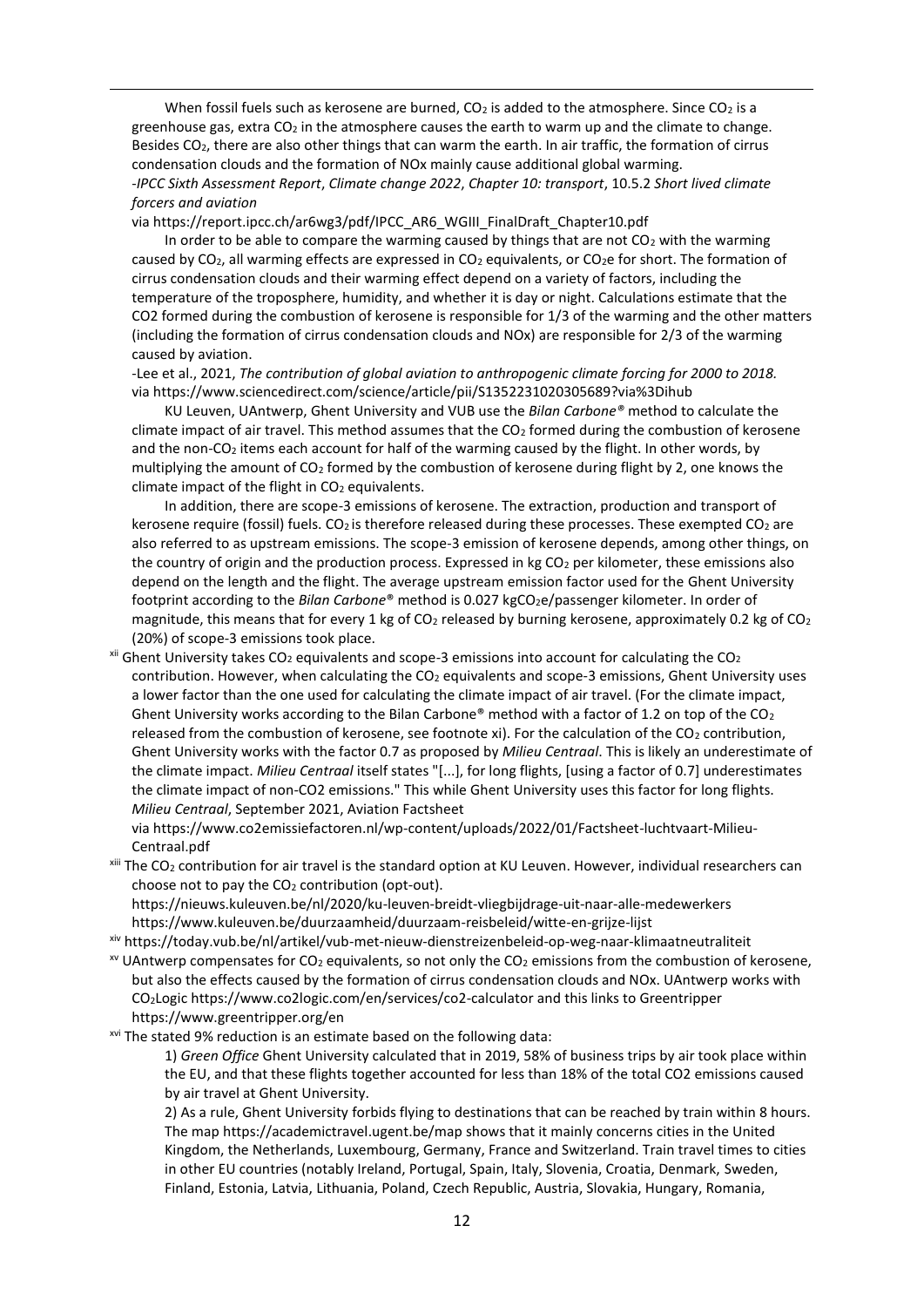When fossil fuels such as kerosene are burned,  $CO<sub>2</sub>$  is added to the atmosphere. Since  $CO<sub>2</sub>$  is a greenhouse gas, extra  $CO<sub>2</sub>$  in the atmosphere causes the earth to warm up and the climate to change. Besides CO<sub>2</sub>, there are also other things that can warm the earth. In air traffic, the formation of cirrus condensation clouds and the formation of NOx mainly cause additional global warming. -*IPCC Sixth Assessment Report*, *Climate change 2022*, *Chapter 10: transport*, 10.5.2 *Short lived climate forcers and aviation*

via https://report.ipcc.ch/ar6wg3/pdf/IPCC\_AR6\_WGIII\_FinalDraft\_Chapter10.pdf

 $\overline{a}$ 

In order to be able to compare the warming caused by things that are not  $CO<sub>2</sub>$  with the warming caused by  $CO<sub>2</sub>$ , all warming effects are expressed in  $CO<sub>2</sub>$  equivalents, or  $CO<sub>2</sub>$ e for short. The formation of cirrus condensation clouds and their warming effect depend on a variety of factors, including the temperature of the troposphere, humidity, and whether it is day or night. Calculations estimate that the CO2 formed during the combustion of kerosene is responsible for 1/3 of the warming and the other matters (including the formation of cirrus condensation clouds and NOx) are responsible for 2/3 of the warming caused by aviation.

-Lee et al., 2021, *The contribution of global aviation to anthropogenic climate forcing for 2000 to 2018.* via https://www.sciencedirect.com/science/article/pii/S1352231020305689?via%3Dihub

KU Leuven, UAntwerp, Ghent University and VUB use the *Bilan Carbone®* method to calculate the climate impact of air travel. This method assumes that the  $CO<sub>2</sub>$  formed during the combustion of kerosene and the non-CO<sub>2</sub> items each account for half of the warming caused by the flight. In other words, by multiplying the amount of CO<sup>2</sup> formed by the combustion of kerosene during flight by 2, one knows the climate impact of the flight in  $CO<sub>2</sub>$  equivalents.

In addition, there are scope-3 emissions of kerosene. The extraction, production and transport of kerosene require (fossil) fuels.  $CO<sub>2</sub>$  is therefore released during these processes. These exempted  $CO<sub>2</sub>$  are also referred to as upstream emissions. The scope-3 emission of kerosene depends, among other things, on the country of origin and the production process. Expressed in kg CO<sub>2</sub> per kilometer, these emissions also depend on the length and the flight. The average upstream emission factor used for the Ghent University footprint according to the *Bilan Carbone*® method is 0.027 kgCO2e/passenger kilometer. In order of magnitude, this means that for every 1 kg of CO<sub>2</sub> released by burning kerosene, approximately 0.2 kg of CO<sub>2</sub> (20%) of scope-3 emissions took place.

 $x$ <sup>ii</sup> Ghent University takes CO<sub>2</sub> equivalents and scope-3 emissions into account for calculating the CO<sub>2</sub> contribution. However, when calculating the CO<sub>2</sub> equivalents and scope-3 emissions, Ghent University uses a lower factor than the one used for calculating the climate impact of air travel. (For the climate impact, Ghent University works according to the Bilan Carbone<sup>®</sup> method with a factor of 1.2 on top of the CO<sub>2</sub> released from the combustion of kerosene, see footnote xi). For the calculation of the  $CO<sub>2</sub>$  contribution, Ghent University works with the factor 0.7 as proposed by *Milieu Centraal*. This is likely an underestimate of the climate impact. *Milieu Centraal* itself states "[...], for long flights, [using a factor of 0.7] underestimates the climate impact of non-CO2 emissions." This while Ghent University uses this factor for long flights. *Milieu Centraal*, September 2021, Aviation Factsheet

via https://www.co2emissiefactoren.nl/wp-content/uploads/2022/01/Factsheet-luchtvaart-Milieu-Centraal.pdf

xiii The CO<sup>2</sup> contribution for air travel is the standard option at KU Leuven. However, individual researchers can choose not to pay the CO<sub>2</sub> contribution (opt-out).

https://nieuws.kuleuven.be/nl/2020/ku-leuven-breidt-vliegbijdrage-uit-naar-alle-medewerkers https://www.kuleuven.be/duurzaamheid/duurzaam-reisbeleid/witte-en-grijze-lijst

- xiv https://today.vub.be/nl/artikel/vub-met-nieuw-dienstreizenbeleid-op-weg-naar-klimaatneutraliteit
- $x<sup>v</sup>$  UAntwerp compensates for CO<sub>2</sub> equivalents, so not only the CO<sub>2</sub> emissions from the combustion of kerosene, but also the effects caused by the formation of cirrus condensation clouds and NOx. UAntwerp works with CO2Logic https://www.co2logic.com/en/services/co2-calculator and this links to Greentripper https://www.greentripper.org/en
- xvi The stated 9% reduction is an estimate based on the following data:

1) *Green Office* Ghent University calculated that in 2019, 58% of business trips by air took place within the EU, and that these flights together accounted for less than 18% of the total CO2 emissions caused by air travel at Ghent University.

2) As a rule, Ghent University forbids flying to destinations that can be reached by train within 8 hours. The map https://academictravel.ugent.be/map shows that it mainly concerns cities in the United Kingdom, the Netherlands, Luxembourg, Germany, France and Switzerland. Train travel times to cities in other EU countries (notably Ireland, Portugal, Spain, Italy, Slovenia, Croatia, Denmark, Sweden, Finland, Estonia, Latvia, Lithuania, Poland, Czech Republic, Austria, Slovakia, Hungary, Romania,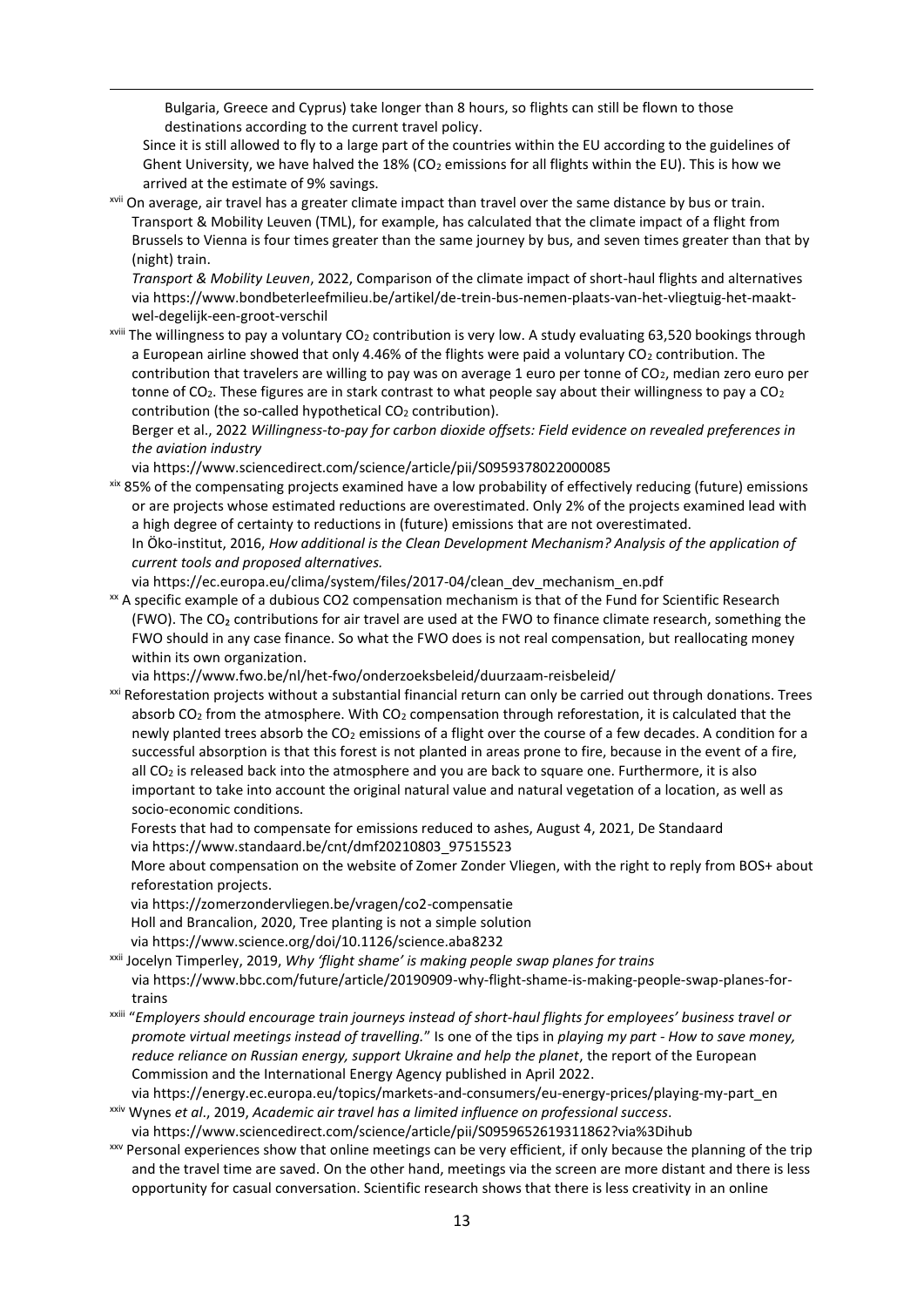Bulgaria, Greece and Cyprus) take longer than 8 hours, so flights can still be flown to those destinations according to the current travel policy.

Since it is still allowed to fly to a large part of the countries within the EU according to the guidelines of Ghent University, we have halved the 18% (CO<sub>2</sub> emissions for all flights within the EU). This is how we arrived at the estimate of 9% savings.

xvii On average, air travel has a greater climate impact than travel over the same distance by bus or train. Transport & Mobility Leuven (TML), for example, has calculated that the climate impact of a flight from Brussels to Vienna is four times greater than the same journey by bus, and seven times greater than that by (night) train.

*Transport & Mobility Leuven*, 2022, Comparison of the climate impact of short-haul flights and alternatives via https://www.bondbeterleefmilieu.be/artikel/de-trein-bus-nemen-plaats-van-het-vliegtuig-het-maaktwel-degelijk-een-groot-verschil

 $x^2$ <sup>iii</sup> The willingness to pay a voluntary CO<sub>2</sub> contribution is very low. A study evaluating 63,520 bookings through a European airline showed that only 4.46% of the flights were paid a voluntary  $CO<sub>2</sub>$  contribution. The contribution that travelers are willing to pay was on average 1 euro per tonne of  $CO<sub>2</sub>$ , median zero euro per tonne of CO<sub>2</sub>. These figures are in stark contrast to what people say about their willingness to pay a CO<sub>2</sub> contribution (the so-called hypothetical CO<sub>2</sub> contribution).

Berger et al., 2022 *Willingness-to-pay for carbon dioxide offsets: Field evidence on revealed preferences in the aviation industry* 

via https://www.sciencedirect.com/science/article/pii/S0959378022000085

 $\overline{a}$ 

xix 85% of the compensating projects examined have a low probability of effectively reducing (future) emissions or are projects whose estimated reductions are overestimated. Only 2% of the projects examined lead with a high degree of certainty to reductions in (future) emissions that are not overestimated. In Öko-institut, 2016, *How additional is the Clean Development Mechanism? Analysis of the application of* 

*current tools and proposed alternatives.*

via https://ec.europa.eu/clima/system/files/2017-04/clean\_dev\_mechanism\_en.pdf

 $x<sup>x</sup>$  A specific example of a dubious CO2 compensation mechanism is that of the Fund for Scientific Research (FWO). The CO₂ contributions for air travel are used at the FWO to finance climate research, something the FWO should in any case finance. So what the FWO does is not real compensation, but reallocating money within its own organization.

via https://www.fwo.be/nl/het-fwo/onderzoeksbeleid/duurzaam-reisbeleid/

<sup>xxi</sup> Reforestation projects without a substantial financial return can only be carried out through donations. Trees absorb  $CO<sub>2</sub>$  from the atmosphere. With  $CO<sub>2</sub>$  compensation through reforestation, it is calculated that the newly planted trees absorb the CO<sub>2</sub> emissions of a flight over the course of a few decades. A condition for a successful absorption is that this forest is not planted in areas prone to fire, because in the event of a fire, all CO<sub>2</sub> is released back into the atmosphere and you are back to square one. Furthermore, it is also important to take into account the original natural value and natural vegetation of a location, as well as socio-economic conditions.

Forests that had to compensate for emissions reduced to ashes, August 4, 2021, De Standaard via https://www.standaard.be/cnt/dmf20210803\_97515523

More about compensation on the website of Zomer Zonder Vliegen, with the right to reply from BOS+ about reforestation projects.

- via https://zomerzondervliegen.be/vragen/co2-compensatie
- Holl and Brancalion, 2020, Tree planting is not a simple solution
- via https://www.science.org/doi/10.1126/science.aba8232
- xxii Jocelyn Timperley, 2019, *Why 'flight shame' is making people swap planes for trains* via https://www.bbc.com/future/article/20190909-why-flight-shame-is-making-people-swap-planes-fortrains
- xxiii "*Employers should encourage train journeys instead of short-haul flights for employees' business travel or promote virtual meetings instead of travelling.*" Is one of the tips in *playing my part - How to save money, reduce reliance on Russian energy, support Ukraine and help the planet*, the report of the European Commission and the International Energy Agency published in April 2022.
- via https://energy.ec.europa.eu/topics/markets-and-consumers/eu-energy-prices/playing-my-part\_en xxiv Wynes *et al*., 2019, *Academic air travel has a limited influence on professional success*.
- via https://www.sciencedirect.com/science/article/pii/S0959652619311862?via%3Dihub
- xxv Personal experiences show that online meetings can be very efficient, if only because the planning of the trip and the travel time are saved. On the other hand, meetings via the screen are more distant and there is less opportunity for casual conversation. Scientific research shows that there is less creativity in an online